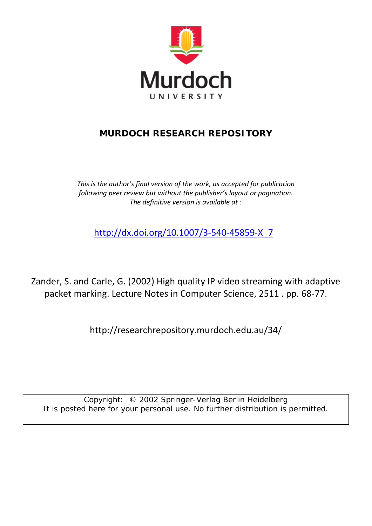

# **MURDOCH RESEARCH REPOSITORY**

*This is the author's final version of the work, as accepted for publication following peer review but without the publisher's layout or pagination. The definitive version is available at* :

[http://dx.doi.org/10.1007/3-540-45859-X\\_7](http://dx.doi.org/10.1007/3-540-45859-X_7)

Zander, S. and Carle, G. (2002) High quality IP video streaming with adaptive packet marking. Lecture Notes in Computer Science, 2511 . pp. 68-77.

http://researchrepository.murdoch.edu.au/34/

Copyright: © 2002 Springer-Verlag Berlin Heidelberg It is posted here for your personal use. No further distribution is permitted.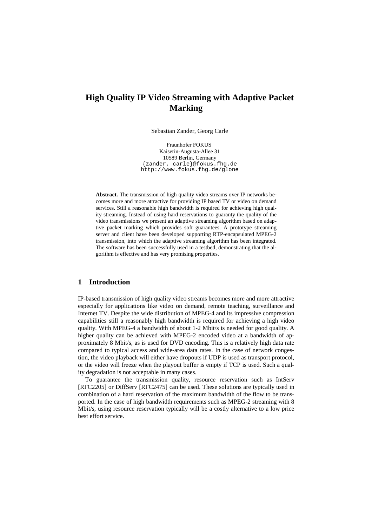# **High Quality IP Video Streaming with Adaptive Packet Marking**

Sebastian Zander, Georg Carle

Fraunhofer FOKUS Kaiserin-Augusta-Allee 31 10589 Berlin, Germany {zander, carle}@fokus.fhg.de http://www.fokus.fhg.de/glone

**Abstract.** The transmission of high quality video streams over IP networks becomes more and more attractive for providing IP based TV or video on demand services. Still a reasonable high bandwidth is required for achieving high quality streaming. Instead of using hard reservations to guaranty the quality of the video transmissions we present an adaptive streaming algorithm based on adaptive packet marking which provides soft guarantees. A prototype streaming server and client have been developed supporting RTP-encapsulated MPEG-2 transmission, into which the adaptive streaming algorithm has been integrated. The software has been successfully used in a testbed, demonstrating that the algorithm is effective and has very promising properties.

## **1 Introduction**

IP-based transmission of high quality video streams becomes more and more attractive especially for applications like video on demand, remote teaching, surveillance and Internet TV. Despite the wide distribution of MPEG-4 and its impressive compression capabilities still a reasonably high bandwidth is required for achieving a high video quality. With MPEG-4 a bandwidth of about 1-2 Mbit/s is needed for good quality. A higher quality can be achieved with MPEG-2 encoded video at a bandwidth of approximately 8 Mbit/s, as is used for DVD encoding. This is a relatively high data rate compared to typical access and wide-area data rates. In the case of network congestion, the video playback will either have dropouts if UDP is used as transport protocol, or the video will freeze when the playout buffer is empty if TCP is used. Such a quality degradation is not acceptable in many cases.

To guarantee the transmission quality, resource reservation such as IntServ [RFC2205] or DiffServ [RFC2475] can be used. These solutions are typically used in combination of a hard reservation of the maximum bandwidth of the flow to be transported. In the case of high bandwidth requirements such as MPEG-2 streaming with 8 Mbit/s, using resource reservation typically will be a costly alternative to a low price best effort service.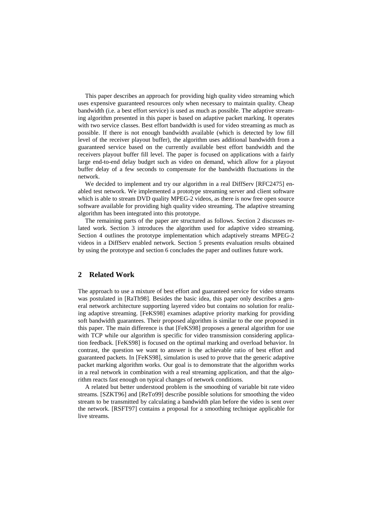This paper describes an approach for providing high quality video streaming which uses expensive guaranteed resources only when necessary to maintain quality. Cheap bandwidth (i.e. a best effort service) is used as much as possible. The adaptive streaming algorithm presented in this paper is based on adaptive packet marking. It operates with two service classes. Best effort bandwidth is used for video streaming as much as possible. If there is not enough bandwidth available (which is detected by low fill level of the receiver playout buffer), the algorithm uses additional bandwidth from a guaranteed service based on the currently available best effort bandwidth and the receivers playout buffer fill level. The paper is focused on applications with a fairly large end-to-end delay budget such as video on demand, which allow for a playout buffer delay of a few seconds to compensate for the bandwidth fluctuations in the network.

We decided to implement and try our algorithm in a real DiffServ [RFC2475] enabled test network. We implemented a prototype streaming server and client software which is able to stream DVD quality MPEG-2 videos, as there is now free open source software available for providing high quality video streaming. The adaptive streaming algorithm has been integrated into this prototype.

The remaining parts of the paper are structured as follows. Section 2 discusses related work. Section 3 introduces the algorithm used for adaptive video streaming. Section 4 outlines the prototype implementation which adaptively streams MPEG-2 videos in a DiffServ enabled network. Section 5 presents evaluation results obtained by using the prototype and section 6 concludes the paper and outlines future work.

# **2 Related Work**

The approach to use a mixture of best effort and guaranteed service for video streams was postulated in [RaTh98]. Besides the basic idea, this paper only describes a general network architecture supporting layered video but contains no solution for realizing adaptive streaming. [FeKS98] examines adaptive priority marking for providing soft bandwidth guarantees. Their proposed algorithm is similar to the one proposed in this paper. The main difference is that [FeKS98] proposes a general algorithm for use with TCP while our algorithm is specific for video transmission considering application feedback. [FeKS98] is focused on the optimal marking and overload behavior. In contrast, the question we want to answer is the achievable ratio of best effort and guaranteed packets. In [FeKS98], simulation is used to prove that the generic adaptive packet marking algorithm works. Our goal is to demonstrate that the algorithm works in a real network in combination with a real streaming application, and that the algorithm reacts fast enough on typical changes of network conditions.

A related but better understood problem is the smoothing of variable bit rate video streams. [SZKT96] and [ReTo99] describe possible solutions for smoothing the video stream to be transmitted by calculating a bandwidth plan before the video is sent over the network. [RSFT97] contains a proposal for a smoothing technique applicable for live streams.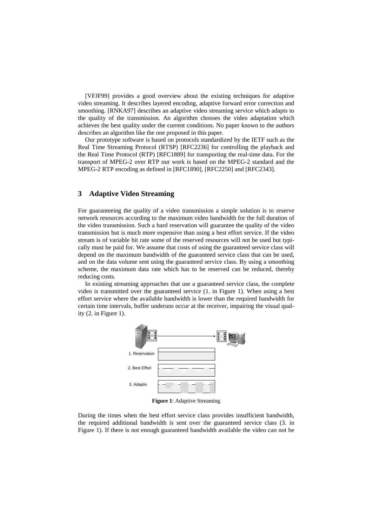[VFJF99] provides a good overview about the existing techniques for adaptive video streaming. It describes layered encoding, adaptive forward error correction and smoothing. [RNKA97] describes an adaptive video streaming service which adapts to the quality of the transmission. An algorithm chooses the video adaptation which achieves the best quality under the current conditions. No paper known to the authors describes an algorithm like the one proposed in this paper.

Our prototype software is based on protocols standardized by the IETF such as the Real Time Streaming Protocol (RTSP) [RFC2236] for controlling the playback and the Real Time Protocol (RTP) [RFC1889] for transporting the real-time data. For the transport of MPEG-2 over RTP our work is based on the MPEG-2 standard and the MPEG-2 RTP encoding as defined in [RFC1890], [RFC2250] and [RFC2343].

# **3 Adaptive Video Streaming**

For guaranteeing the quality of a video transmission a simple solution is to reserve network resources according to the maximum video bandwidth for the full duration of the video transmission. Such a hard reservation will guarantee the quality of the video transmission but is much more expensive than using a best effort service. If the video stream is of variable bit rate some of the reserved resources will not be used but typically must be paid for. We assume that costs of using the guaranteed service class will depend on the maximum bandwidth of the guaranteed service class that can be used, and on the data volume sent using the guaranteed service class. By using a smoothing scheme, the maximum data rate which has to be reserved can be reduced, thereby reducing costs.

In existing streaming approaches that use a guaranteed service class, the complete video is transmitted over the guaranteed service (1. in Figure 1). When using a best effort service where the available bandwidth is lower than the required bandwidth for certain time intervals, buffer underuns occur at the receiver, impairing the visual quality  $(2 \cdot \text{in Figure 1}).$ 



**Figure 1**: Adaptive Streaming

During the times when the best effort service class provides insufficient bandwidth, the required additional bandwidth is sent over the guaranteed service class (3. in Figure 1). If there is not enough guaranteed bandwidth available the video can not be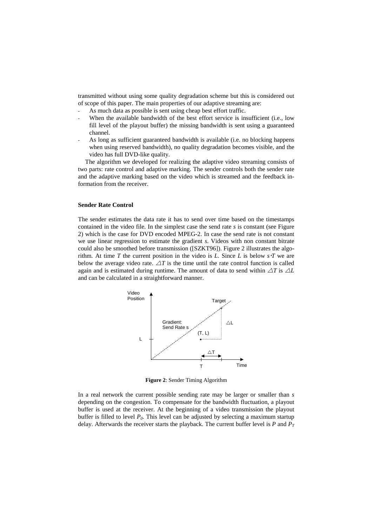transmitted without using some quality degradation scheme but this is considered out of scope of this paper. The main properties of our adaptive streaming are:

- As much data as possible is sent using cheap best effort traffic.
- When the available bandwidth of the best effort service is insufficient (i.e., low fill level of the playout buffer) the missing bandwidth is sent using a guaranteed channel.
- As long as sufficient guaranteed bandwidth is available (i.e. no blocking happens when using reserved bandwidth), no quality degradation becomes visible, and the video has full DVD-like quality.

The algorithm we developed for realizing the adaptive video streaming consists of two parts: rate control and adaptive marking. The sender controls both the sender rate and the adaptive marking based on the video which is streamed and the feedback information from the receiver.

#### **Sender Rate Control**

The sender estimates the data rate it has to send over time based on the timestamps contained in the video file. In the simplest case the send rate *s* is constant (see Figure 2) which is the case for DVD encoded MPEG-2. In case the send rate is not constant we use linear regression to estimate the gradient *s*. Videos with non constant bitrate could also be smoothed before transmission ([SZKT96]). Figure 2 illustrates the algorithm. At time  $T$  the current position in the video is  $L$ . Since  $L$  is below  $s \cdot T$  we are below the average video rate.  $\Delta T$  is the time until the rate control function is called again and is estimated during runtime. The amount of data to send within  $\Delta T$  is  $\Delta L$ and can be calculated in a straightforward manner.



**Figure 2**: Sender Timing Algorithm

In a real network the current possible sending rate may be larger or smaller than *s* depending on the congestion. To compensate for the bandwidth fluctuation, a playout buffer is used at the receiver. At the beginning of a video transmission the playout buffer is filled to level  $P_0$ . This level can be adjusted by selecting a maximum startup delay. Afterwards the receiver starts the playback. The current buffer level is  $P$  and  $P_T$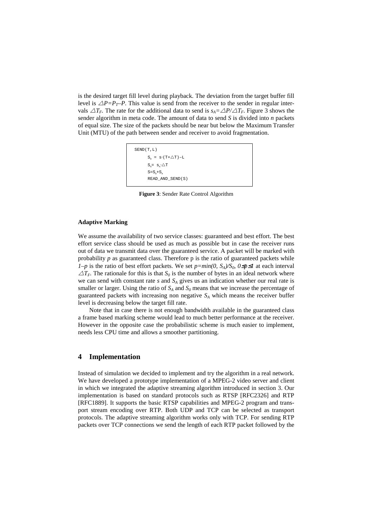is the desired target fill level during playback. The deviation from the target buffer fill level is  $\triangle P=P_T-P$ . This value is send from the receiver to the sender in regular intervals  $\Delta T_F$ . The rate for the additional data to send is  $s_A = \Delta P / \Delta T_F$ . Figure 3 shows the sender algorithm in meta code. The amount of data to send *S* is divided into *n* packets of equal size. The size of the packets should be near but below the Maximum Transfer Unit (MTU) of the path between sender and receiver to avoid fragmentation.

```
SEND(T,L)
S_0 = S \cdot (T + \triangle T) - LS = S, \Delta TS=S_0+S_1READ_AND_SEND(S)
```
**Figure 3**: Sender Rate Control Algorithm

### **Adaptive Marking**

We assume the availability of two service classes: guaranteed and best effort. The best effort service class should be used as much as possible but in case the receiver runs out of data we transmit data over the guaranteed service. A packet will be marked with probability  $p$  as guaranteed class. Therefore  $p$  is the ratio of guaranteed packets while *1–p* is the ratio of best effort packets. We set  $p=min(0, S_A)/S_0$ ,  $0≤p≤1$  at each interval  $\Delta T_F$ . The rationale for this is that  $S_0$  is the number of bytes in an ideal network where we can send with constant rate  $s$  and  $S_A$  gives us an indication whether our real rate is smaller or larger. Using the ratio of  $S_A$  and  $S_0$  means that we increase the percentage of guaranteed packets with increasing non negative  $S_A$  which means the receiver buffer level is decreasing below the target fill rate.

Note that in case there is not enough bandwidth available in the guaranteed class a frame based marking scheme would lead to much better performance at the receiver. However in the opposite case the probabilistic scheme is much easier to implement, needs less CPU time and allows a smoother partitioning.

# **4 Implementation**

Instead of simulation we decided to implement and try the algorithm in a real network. We have developed a prototype implementation of a MPEG-2 video server and client in which we integrated the adaptive streaming algorithm introduced in section 3. Our implementation is based on standard protocols such as RTSP [RFC2326] and RTP [RFC1889]. It supports the basic RTSP capabilities and MPEG-2 program and transport stream encoding over RTP. Both UDP and TCP can be selected as transport protocols. The adaptive streaming algorithm works only with TCP. For sending RTP packets over TCP connections we send the length of each RTP packet followed by the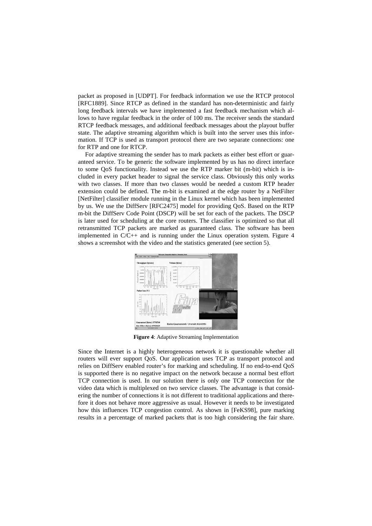packet as proposed in [UDPT]. For feedback information we use the RTCP protocol [RFC1889]. Since RTCP as defined in the standard has non-deterministic and fairly long feedback intervals we have implemented a fast feedback mechanism which allows to have regular feedback in the order of 100 ms. The receiver sends the standard RTCP feedback messages, and additional feedback messages about the playout buffer state. The adaptive streaming algorithm which is built into the server uses this information. If TCP is used as transport protocol there are two separate connections: one for RTP and one for RTCP.

For adaptive streaming the sender has to mark packets as either best effort or guaranteed service. To be generic the software implemented by us has no direct interface to some QoS functionality. Instead we use the RTP marker bit (m-bit) which is included in every packet header to signal the service class. Obviously this only works with two classes. If more than two classes would be needed a custom RTP header extension could be defined. The m-bit is examined at the edge router by a NetFilter [NetFilter] classifier module running in the Linux kernel which has been implemented by us. We use the DiffServ [RFC2475] model for providing QoS. Based on the RTP m-bit the DiffServ Code Point (DSCP) will be set for each of the packets. The DSCP is later used for scheduling at the core routers. The classifier is optimized so that all retransmitted TCP packets are marked as guaranteed class. The software has been implemented in C/C++ and is running under the Linux operation system. Figure 4 shows a screenshot with the video and the statistics generated (see section 5).



**Figure 4**: Adaptive Streaming Implementation

Since the Internet is a highly heterogeneous network it is questionable whether all routers will ever support QoS. Our application uses TCP as transport protocol and relies on DiffServ enabled router's for marking and scheduling. If no end-to-end QoS is supported there is no negative impact on the network because a normal best effort TCP connection is used. In our solution there is only one TCP connection for the video data which is multiplexed on two service classes. The advantage is that considering the number of connections it is not different to traditional applications and therefore it does not behave more aggressive as usual. However it needs to be investigated how this influences TCP congestion control. As shown in [FeKS98], pure marking results in a percentage of marked packets that is too high considering the fair share.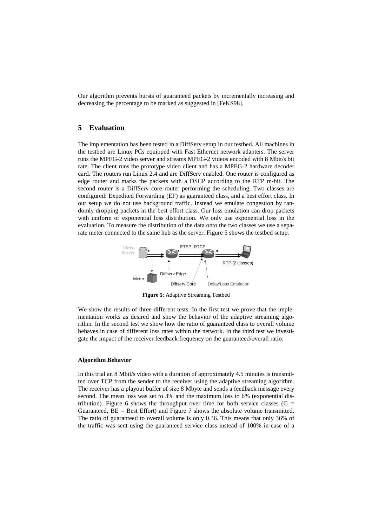Our algorithm prevents bursts of guaranteed packets by incrementally increasing and decreasing the percentage to be marked as suggested in [FeKS98].

# **5 Evaluation**

The implementation has been tested in a DiffServ setup in our testbed. All machines in the testbed are Linux PCs equipped with Fast Ethernet network adapters. The server runs the MPEG-2 video server and streams MPEG-2 videos encoded with 8 Mbit/s bit rate. The client runs the prototype video client and has a MPEG-2 hardware decoder card. The routers run Linux 2.4 and are DiffServ enabled. One router is configured as edge router and marks the packets with a DSCP according to the RTP m-bit. The second router is a DiffServ core router performing the scheduling. Two classes are configured: Expedited Forwarding (EF) as guaranteed class, and a best effort class. In our setup we do not use background traffic. Instead we emulate congestion by randomly dropping packets in the best effort class. Our loss emulation can drop packets with uniform or exponential loss distribution. We only use exponential loss in the evaluation. To measure the distribution of the data onto the two classes we use a separate meter connected to the same hub as the server. Figure 5 shows the testbed setup.



**Figure 5**: Adaptive Streaming Testbed

We show the results of three different tests. In the first test we prove that the implementation works as desired and show the behavior of the adaptive streaming algorithm. In the second test we show how the ratio of guaranteed class to overall volume behaves in case of different loss rates within the network. In the third test we investigate the impact of the receiver feedback frequency on the guaranteed/overall ratio.

### **Algorithm Behavior**

In this trial an 8 Mbit/s video with a duration of approximately 4.5 minutes is transmitted over TCP from the sender to the receiver using the adaptive streaming algorithm. The receiver has a playout buffer of size 8 Mbyte and sends a feedback message every second. The mean loss was set to 3% and the maximum loss to 6% (exponential distribution). Figure 6 shows the throughput over time for both service classes ( $G =$ Guaranteed,  $BE = Best$  Effort) and Figure 7 shows the absolute volume transmitted. The ratio of guaranteed to overall volume is only 0.36. This means that only 36% of the traffic was sent using the guaranteed service class instead of 100% in case of a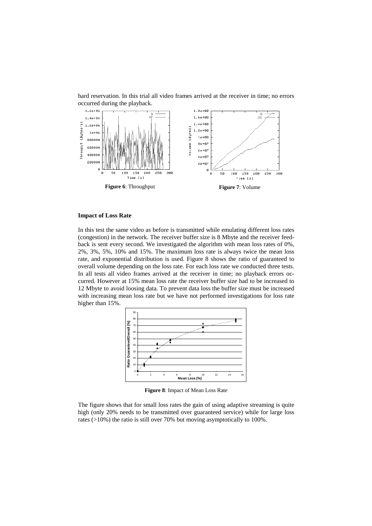

hard reservation. In this trial all video frames arrived at the receiver in time; no errors occurred during the playback.

### **Impact of Loss Rate**

In this test the same video as before is transmitted while emulating different loss rates (congestion) in the network. The receiver buffer size is 8 Mbyte and the receiver feedback is sent every second. We investigated the algorithm with mean loss rates of 0%, 2%, 3%, 5%, 10% and 15%. The maximum loss rate is always twice the mean loss rate, and exponential distribution is used. Figure 8 shows the ratio of guaranteed to overall volume depending on the loss rate. For each loss rate we conducted three tests. In all tests all video frames arrived at the receiver in time; no playback errors occurred. However at 15% mean loss rate the receiver buffer size had to be increased to 12 Mbyte to avoid loosing data. To prevent data loss the buffer size must be increased with increasing mean loss rate but we have not performed investigations for loss rate higher than 15%.



**Figure 8**: Impact of Mean Loss Rate

The figure shows that for small loss rates the gain of using adaptive streaming is quite high (only 20% needs to be transmitted over guaranteed service) while for large loss rates (>10%) the ratio is still over 70% but moving asymptotically to 100%.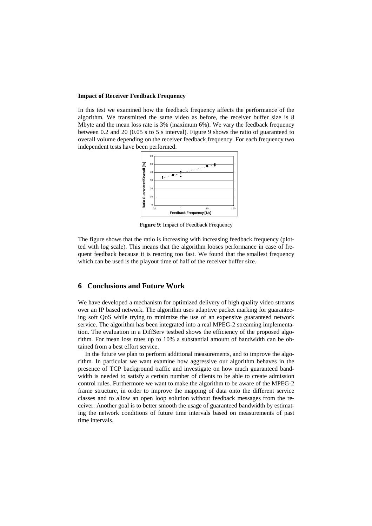#### **Impact of Receiver Feedback Frequency**

In this test we examined how the feedback frequency affects the performance of the algorithm. We transmitted the same video as before, the receiver buffer size is 8 Mbyte and the mean loss rate is 3% (maximum 6%). We vary the feedback frequency between 0.2 and 20 (0.05 s to 5 s interval). Figure 9 shows the ratio of guaranteed to overall volume depending on the receiver feedback frequency. For each frequency two independent tests have been performed.



**Figure 9**: Impact of Feedback Frequency

The figure shows that the ratio is increasing with increasing feedback frequency (plotted with log scale). This means that the algorithm looses performance in case of frequent feedback because it is reacting too fast. We found that the smallest frequency which can be used is the playout time of half of the receiver buffer size.

# **6 Conclusions and Future Work**

We have developed a mechanism for optimized delivery of high quality video streams over an IP based network. The algorithm uses adaptive packet marking for guaranteeing soft QoS while trying to minimize the use of an expensive guaranteed network service. The algorithm has been integrated into a real MPEG-2 streaming implementation. The evaluation in a DiffServ testbed shows the efficiency of the proposed algorithm. For mean loss rates up to 10% a substantial amount of bandwidth can be obtained from a best effort service.

In the future we plan to perform additional measurements, and to improve the algorithm. In particular we want examine how aggressive our algorithm behaves in the presence of TCP background traffic and investigate on how much guaranteed bandwidth is needed to satisfy a certain number of clients to be able to create admission control rules. Furthermore we want to make the algorithm to be aware of the MPEG-2 frame structure, in order to improve the mapping of data onto the different service classes and to allow an open loop solution without feedback messages from the receiver. Another goal is to better smooth the usage of guaranteed bandwidth by estimating the network conditions of future time intervals based on measurements of past time intervals.